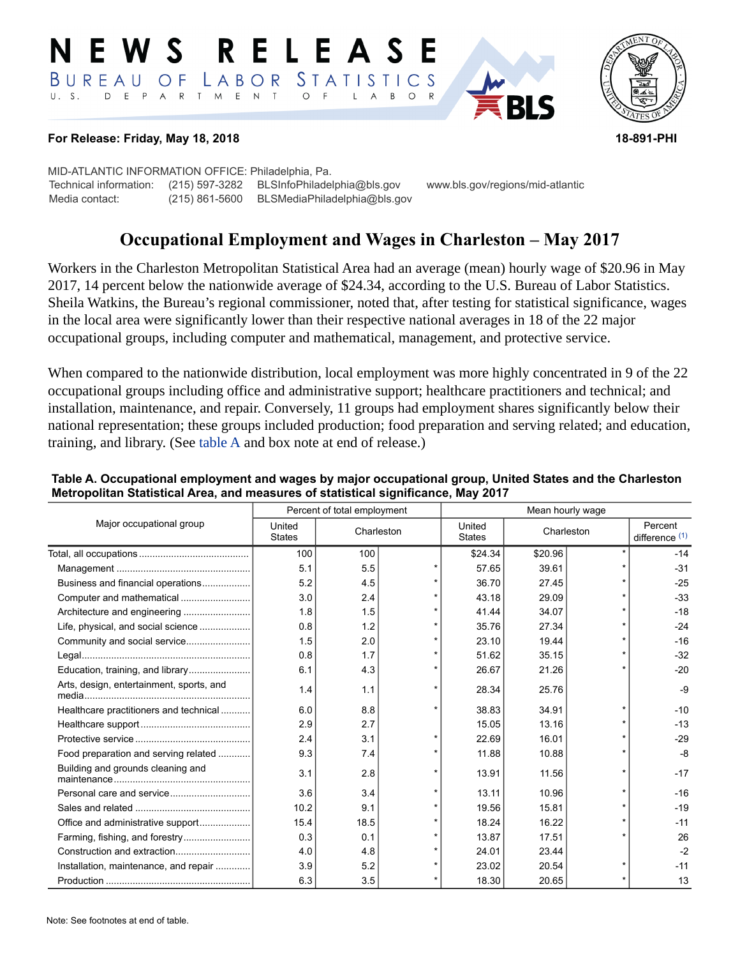#### RELEAS EWS LABOR STATISTICS BUREAU OF D E P A R T M E N T  $\circ$  $U. S.$  $\overline{F}$  $\mathsf{L}$  $\overline{A}$  $B$  $\circ$



### **For Release: Friday, May 18, 2018 18-891-PHI**

MID-ATLANTIC INFORMATION OFFICE: Philadelphia, Pa. Technical information: (215) 597-3282 BLSInfoPhiladelphia@bls.gov www.bls.gov/regions/mid-atlantic Media contact: (215) 861-5600 BLSMediaPhiladelphia@bls.gov

# **Occupational Employment and Wages in Charleston – May 2017**

Workers in the Charleston Metropolitan Statistical Area had an average (mean) hourly wage of \$20.96 in May 2017, 14 percent below the nationwide average of \$24.34, according to the U.S. Bureau of Labor Statistics. Sheila Watkins, the Bureau's regional commissioner, noted that, after testing for statistical significance, wages in the local area were significantly lower than their respective national averages in 18 of the 22 major occupational groups, including computer and mathematical, management, and protective service.

When compared to the nationwide distribution, local employment was more highly concentrated in 9 of the 22 occupational groups including office and administrative support; healthcare practitioners and technical; and installation, maintenance, and repair. Conversely, 11 groups had employment shares significantly below their national representation; these groups included production; food preparation and serving related; and education, training, and library. (See [table A](#page-0-0) and box note at end of release.)

|                                          | Percent of total employment |            |         | Mean hourly wage        |            |  |                             |
|------------------------------------------|-----------------------------|------------|---------|-------------------------|------------|--|-----------------------------|
| Major occupational group                 | United<br><b>States</b>     | Charleston |         | United<br><b>States</b> | Charleston |  | Percent<br>difference $(1)$ |
|                                          | 100                         | 100        |         | \$24.34                 | \$20.96    |  | $-14$                       |
|                                          | 5.1                         | 5.5        |         | 57.65                   | 39.61      |  | $-31$                       |
| Business and financial operations        | 5.2                         | 4.5        |         | 36.70                   | 27.45      |  | $-25$                       |
| Computer and mathematical                | 3.0                         | 2.4        |         | 43.18                   | 29.09      |  | $-33$                       |
| Architecture and engineering             | 1.8                         | 1.5        |         | 41.44                   | 34.07      |  | $-18$                       |
| Life, physical, and social science       | 0.8                         | 1.2        | $\star$ | 35.76                   | 27.34      |  | $-24$                       |
| Community and social service             | 1.5                         | 2.0        |         | 23.10                   | 19.44      |  | $-16$                       |
|                                          | 0.8                         | 1.7        |         | 51.62                   | 35.15      |  | $-32$                       |
| Education, training, and library         | 6.1                         | 4.3        |         | 26.67                   | 21.26      |  | $-20$                       |
| Arts, design, entertainment, sports, and | 1.4                         | 1.1        |         | 28.34                   | 25.76      |  | $-9$                        |
| Healthcare practitioners and technical   | 6.0                         | 8.8        |         | 38.83                   | 34.91      |  | $-10$                       |
|                                          | 2.9                         | 2.7        |         | 15.05                   | 13.16      |  | $-13$                       |
|                                          | 2.4                         | 3.1        |         | 22.69                   | 16.01      |  | $-29$                       |
| Food preparation and serving related     | 9.3                         | 7.4        |         | 11.88                   | 10.88      |  | $-8$                        |
| Building and grounds cleaning and        | 3.1                         | 2.8        |         | 13.91                   | 11.56      |  | $-17$                       |
|                                          | 3.6                         | 3.4        | $\star$ | 13.11                   | 10.96      |  | $-16$                       |
|                                          | 10.2                        | 9.1        | $\star$ | 19.56                   | 15.81      |  | $-19$                       |
| Office and administrative support        | 15.4                        | 18.5       |         | 18.24                   | 16.22      |  | $-11$                       |
| Farming, fishing, and forestry           | 0.3                         | 0.1        |         | 13.87                   | 17.51      |  | 26                          |
|                                          | 4.0                         | 4.8        |         | 24.01                   | 23.44      |  | $-2$                        |
| Installation, maintenance, and repair    | 3.9                         | 5.2        |         | 23.02                   | 20.54      |  | $-11$                       |
|                                          | 6.3                         | 3.5        |         | 18.30                   | 20.65      |  | 13                          |

### <span id="page-0-0"></span>**Table A. Occupational employment and wages by major occupational group, United States and the Charleston Metropolitan Statistical Area, and measures of statistical significance, May 2017**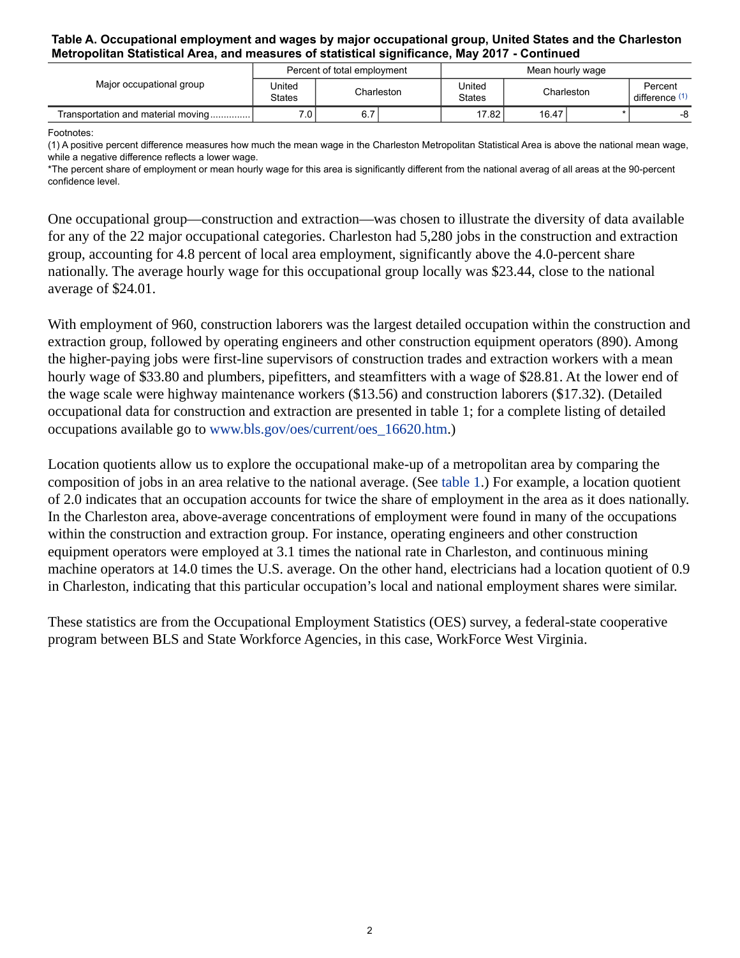#### **Table A. Occupational employment and wages by major occupational group, United States and the Charleston Metropolitan Statistical Area, and measures of statistical significance, May 2017 - Continued**

|                                    | Percent of total employment |            |  | Mean hourly wage        |            |  |                         |
|------------------------------------|-----------------------------|------------|--|-------------------------|------------|--|-------------------------|
| Major occupational group           | United<br><b>States</b>     | Charleston |  | United<br><b>States</b> | Charleston |  | Percent<br>difference ( |
| Transportation and material moving | 7.0 <sub>1</sub>            | 6.7        |  | 17.82                   | 16.47      |  | -8                      |

<span id="page-1-0"></span>Footnotes:

(1) A positive percent difference measures how much the mean wage in the Charleston Metropolitan Statistical Area is above the national mean wage, while a negative difference reflects a lower wage.

\*The percent share of employment or mean hourly wage for this area is significantly different from the national averag of all areas at the 90-percent confidence level.

One occupational group—construction and extraction—was chosen to illustrate the diversity of data available for any of the 22 major occupational categories. Charleston had 5,280 jobs in the construction and extraction group, accounting for 4.8 percent of local area employment, significantly above the 4.0-percent share nationally. The average hourly wage for this occupational group locally was \$23.44, close to the national average of \$24.01.

With employment of 960, construction laborers was the largest detailed occupation within the construction and extraction group, followed by operating engineers and other construction equipment operators (890). Among the higher-paying jobs were first-line supervisors of construction trades and extraction workers with a mean hourly wage of \$33.80 and plumbers, pipefitters, and steamfitters with a wage of \$28.81. At the lower end of the wage scale were highway maintenance workers (\$13.56) and construction laborers (\$17.32). (Detailed occupational data for construction and extraction are presented in table 1; for a complete listing of detailed occupations available go to [www.bls.gov/oes/current/oes\\_16620.htm](https://www.bls.gov/oes/current/oes_16620.htm).)

Location quotients allow us to explore the occupational make-up of a metropolitan area by comparing the composition of jobs in an area relative to the national average. (See [table 1.](#page-4-0)) For example, a location quotient of 2.0 indicates that an occupation accounts for twice the share of employment in the area as it does nationally. In the Charleston area, above-average concentrations of employment were found in many of the occupations within the construction and extraction group. For instance, operating engineers and other construction equipment operators were employed at 3.1 times the national rate in Charleston, and continuous mining machine operators at 14.0 times the U.S. average. On the other hand, electricians had a location quotient of 0.9 in Charleston, indicating that this particular occupation's local and national employment shares were similar.

These statistics are from the Occupational Employment Statistics (OES) survey, a federal-state cooperative program between BLS and State Workforce Agencies, in this case, WorkForce West Virginia.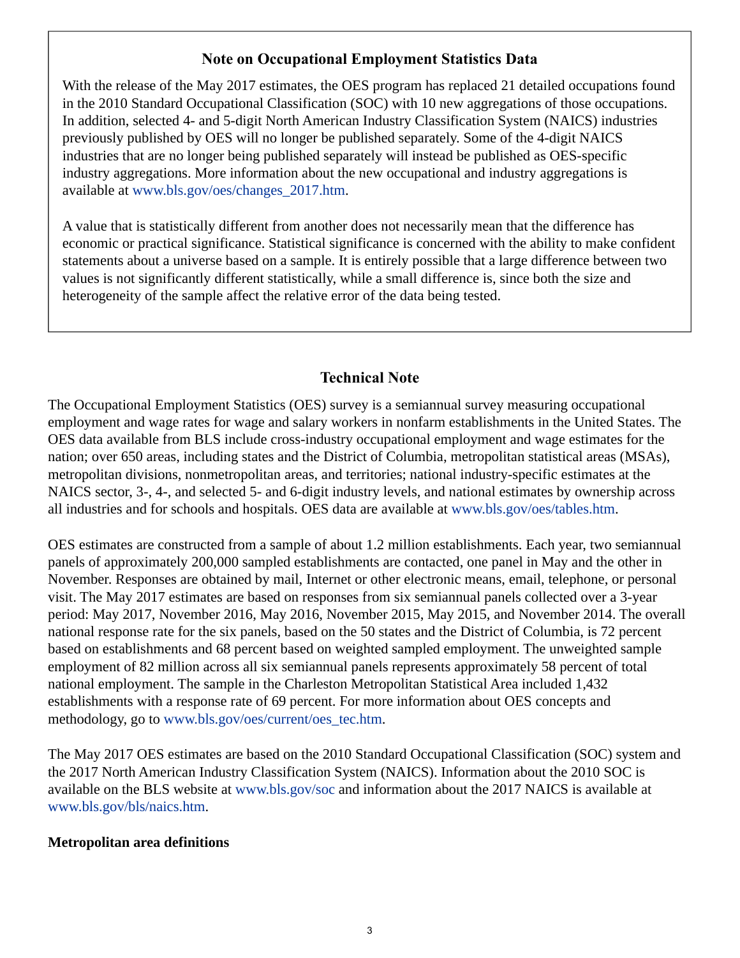## **Note on Occupational Employment Statistics Data**

With the release of the May 2017 estimates, the OES program has replaced 21 detailed occupations found in the 2010 Standard Occupational Classification (SOC) with 10 new aggregations of those occupations. In addition, selected 4- and 5-digit North American Industry Classification System (NAICS) industries previously published by OES will no longer be published separately. Some of the 4-digit NAICS industries that are no longer being published separately will instead be published as OES-specific industry aggregations. More information about the new occupational and industry aggregations is available at [www.bls.gov/oes/changes\\_2017.htm.](https://www.bls.gov/oes/changes_2017.htm)

A value that is statistically different from another does not necessarily mean that the difference has economic or practical significance. Statistical significance is concerned with the ability to make confident statements about a universe based on a sample. It is entirely possible that a large difference between two values is not significantly different statistically, while a small difference is, since both the size and heterogeneity of the sample affect the relative error of the data being tested.

## **Technical Note**

The Occupational Employment Statistics (OES) survey is a semiannual survey measuring occupational employment and wage rates for wage and salary workers in nonfarm establishments in the United States. The OES data available from BLS include cross-industry occupational employment and wage estimates for the nation; over 650 areas, including states and the District of Columbia, metropolitan statistical areas (MSAs), metropolitan divisions, nonmetropolitan areas, and territories; national industry-specific estimates at the NAICS sector, 3-, 4-, and selected 5- and 6-digit industry levels, and national estimates by ownership across all industries and for schools and hospitals. OES data are available at [www.bls.gov/oes/tables.htm](https://www.bls.gov/oes/tables.htm).

OES estimates are constructed from a sample of about 1.2 million establishments. Each year, two semiannual panels of approximately 200,000 sampled establishments are contacted, one panel in May and the other in November. Responses are obtained by mail, Internet or other electronic means, email, telephone, or personal visit. The May 2017 estimates are based on responses from six semiannual panels collected over a 3-year period: May 2017, November 2016, May 2016, November 2015, May 2015, and November 2014. The overall national response rate for the six panels, based on the 50 states and the District of Columbia, is 72 percent based on establishments and 68 percent based on weighted sampled employment. The unweighted sample employment of 82 million across all six semiannual panels represents approximately 58 percent of total national employment. The sample in the Charleston Metropolitan Statistical Area included 1,432 establishments with a response rate of 69 percent. For more information about OES concepts and methodology, go to [www.bls.gov/oes/current/oes\\_tec.htm](https://www.bls.gov/oes/current/oes_tec.htm).

The May 2017 OES estimates are based on the 2010 Standard Occupational Classification (SOC) system and the 2017 North American Industry Classification System (NAICS). Information about the 2010 SOC is available on the BLS website at [www.bls.gov/soc](https://www.bls.gov/soc) and information about the 2017 NAICS is available at [www.bls.gov/bls/naics.htm.](https://www.bls.gov/bls/naics.htm)

## **Metropolitan area definitions**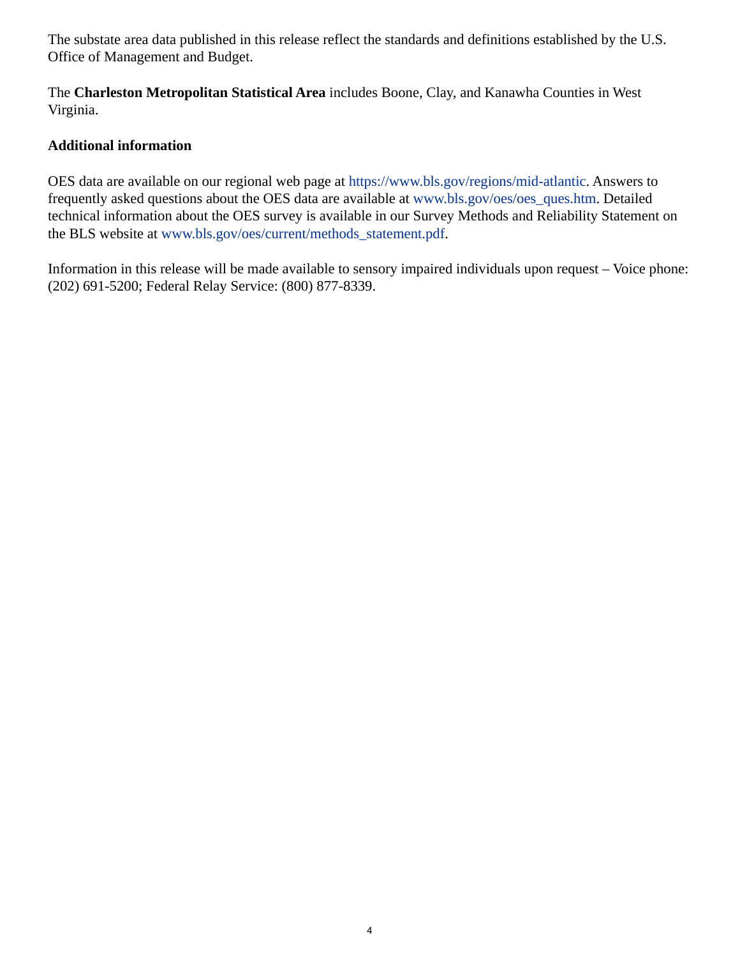The substate area data published in this release reflect the standards and definitions established by the U.S. Office of Management and Budget.

The **Charleston Metropolitan Statistical Area** includes Boone, Clay, and Kanawha Counties in West Virginia.

## **Additional information**

OES data are available on our regional web page at <https://www.bls.gov/regions/mid-atlantic>. Answers to frequently asked questions about the OES data are available at [www.bls.gov/oes/oes\\_ques.htm](https://www.bls.gov/oes/oes_ques.htm). Detailed technical information about the OES survey is available in our Survey Methods and Reliability Statement on the BLS website at [www.bls.gov/oes/current/methods\\_statement.pdf](https://www.bls.gov/oes/current/methods_statement.pdf).

Information in this release will be made available to sensory impaired individuals upon request – Voice phone: (202) 691-5200; Federal Relay Service: (800) 877-8339.